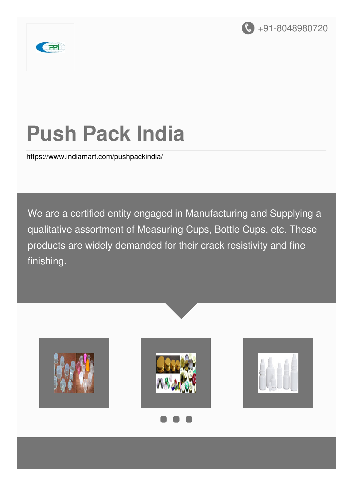



# **Push Pack India**

<https://www.indiamart.com/pushpackindia/>

We are a certified entity engaged in Manufacturing and Supplying a qualitative assortment of Measuring Cups, Bottle Cups, etc. These products are widely demanded for their crack resistivity and fine finishing.

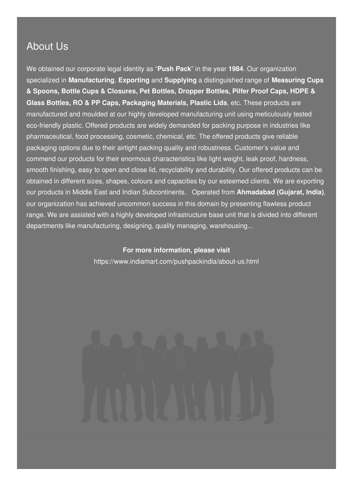#### About Us

We obtained our corporate legal identity as "**Push Pack**" in the year **1984**. Our organization specialized in **Manufacturing**, **Exporting** and **Supplying** a distinguished range of **Measuring Cups & Spoons, Bottle Cups & Closures, Pet Bottles, Dropper Bottles, Pilfer Proof Caps, HDPE & Glass Bottles, RO & PP Caps, Packaging Materials, Plastic Lids**, etc. These products are manufactured and moulded at our highly developed manufacturing unit using meticulously tested eco-friendly plastic. Offered products are widely demanded for packing purpose in industries like pharmaceutical, food processing, cosmetic, chemical, etc. The offered products give reliable packaging options due to their airtight packing quality and robustness. Customer's value and commend our products for their enormous characteristics like light weight, leak proof, hardness, smooth finishing, easy to open and close lid, recyclability and durability. Our offered products can be obtained in different sizes, shapes, colours and capacities by our esteemed clients. We are exporting our products in Middle East and Indian Subcontinents. Operated from **Ahmadabad (Gujarat, India)**, our organization has achieved uncommon success in this domain by presenting flawless product range. We are assisted with a highly developed infrastructure base unit that is divided into different departments like manufacturing, designing, quality managing, warehousing...

#### **For more information, please visit**

<https://www.indiamart.com/pushpackindia/about-us.html>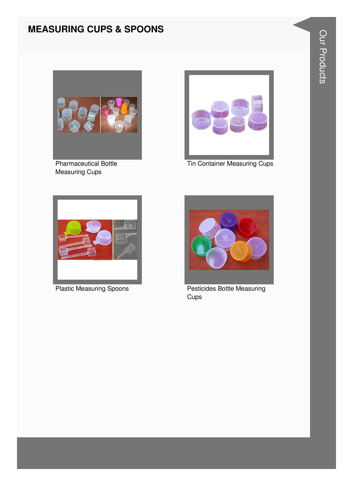#### **MEASURING CUPS & SPOONS**



**Pharmaceutical Bottle Measuring Cups** 



**Tin Container Measuring Cups** 



**Plastic Measuring Spoons** 



**Pesticides Bottle Measuring** Cups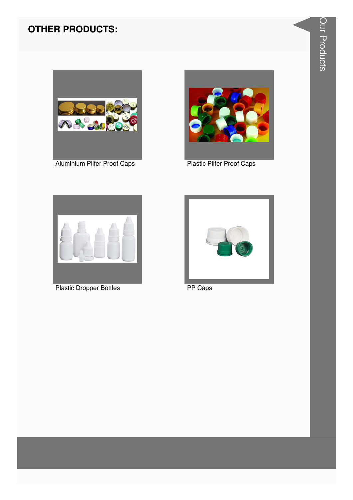### **OTHER PRODUCTS:**



Aluminium Pilfer Proof Caps<br>
Plastic Pilfer Proof Caps





Plastic Dropper Bottles **PP Caps** 

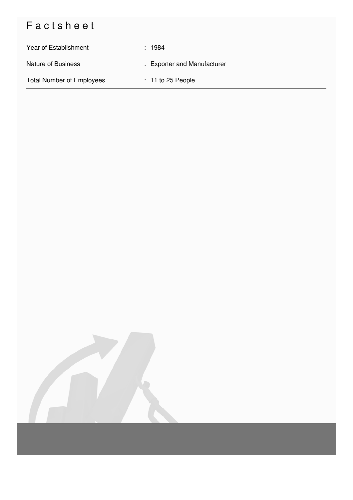## Factsheet

| Year of Establishment            | : 1984                      |
|----------------------------------|-----------------------------|
| <b>Nature of Business</b>        | : Exporter and Manufacturer |
| <b>Total Number of Employees</b> | $: 11$ to 25 People         |